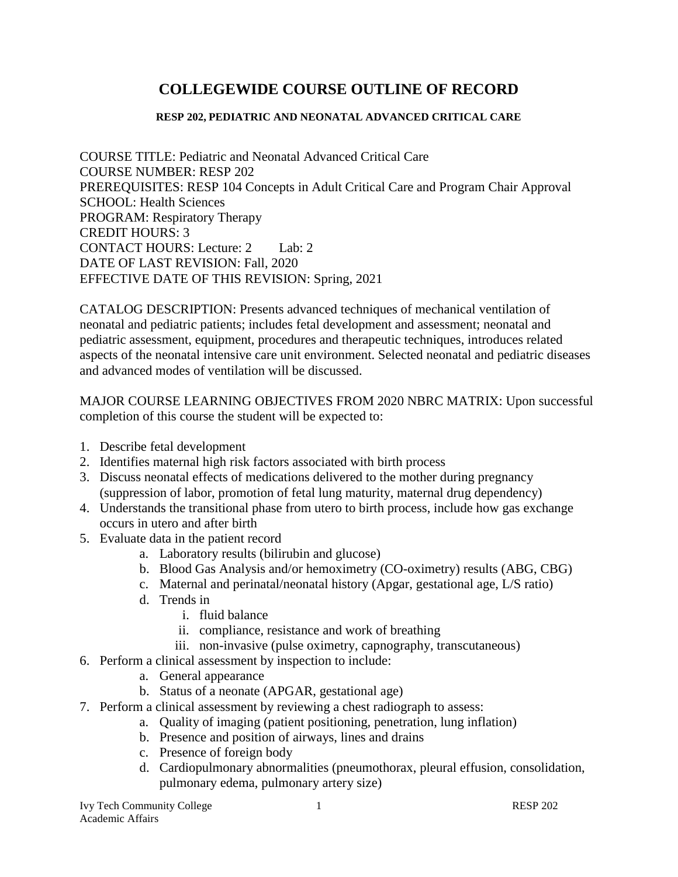# **COLLEGEWIDE COURSE OUTLINE OF RECORD**

#### **RESP 202, PEDIATRIC AND NEONATAL ADVANCED CRITICAL CARE**

COURSE TITLE: Pediatric and Neonatal Advanced Critical Care COURSE NUMBER: RESP 202 PREREQUISITES: RESP 104 Concepts in Adult Critical Care and Program Chair Approval SCHOOL: Health Sciences PROGRAM: Respiratory Therapy CREDIT HOURS: 3 CONTACT HOURS: Lecture: 2 Lab: 2 DATE OF LAST REVISION: Fall, 2020 EFFECTIVE DATE OF THIS REVISION: Spring, 2021

CATALOG DESCRIPTION: Presents advanced techniques of mechanical ventilation of neonatal and pediatric patients; includes fetal development and assessment; neonatal and pediatric assessment, equipment, procedures and therapeutic techniques, introduces related aspects of the neonatal intensive care unit environment. Selected neonatal and pediatric diseases and advanced modes of ventilation will be discussed.

MAJOR COURSE LEARNING OBJECTIVES FROM 2020 NBRC MATRIX: Upon successful completion of this course the student will be expected to:

- 1. Describe fetal development
- 2. Identifies maternal high risk factors associated with birth process
- 3. Discuss neonatal effects of medications delivered to the mother during pregnancy (suppression of labor, promotion of fetal lung maturity, maternal drug dependency)
- 4. Understands the transitional phase from utero to birth process, include how gas exchange occurs in utero and after birth
- 5. Evaluate data in the patient record
	- a. Laboratory results (bilirubin and glucose)
	- b. Blood Gas Analysis and/or hemoximetry (CO-oximetry) results (ABG, CBG)
	- c. Maternal and perinatal/neonatal history (Apgar, gestational age, L/S ratio)
	- d. Trends in
		- i. fluid balance
		- ii. compliance, resistance and work of breathing
		- iii. non-invasive (pulse oximetry, capnography, transcutaneous)
- 6. Perform a clinical assessment by inspection to include:
	- a. General appearance
	- b. Status of a neonate (APGAR, gestational age)
- 7. Perform a clinical assessment by reviewing a chest radiograph to assess:
	- a. Quality of imaging (patient positioning, penetration, lung inflation)
	- b. Presence and position of airways, lines and drains
	- c. Presence of foreign body
	- d. Cardiopulmonary abnormalities (pneumothorax, pleural effusion, consolidation, pulmonary edema, pulmonary artery size)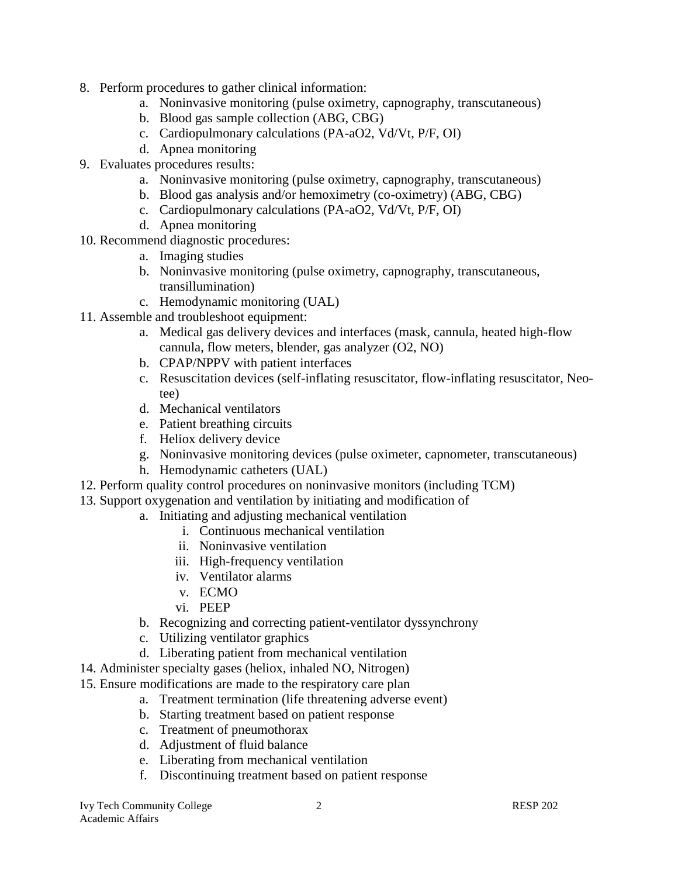- 8. Perform procedures to gather clinical information:
	- a. Noninvasive monitoring (pulse oximetry, capnography, transcutaneous)
	- b. Blood gas sample collection (ABG, CBG)
	- c. Cardiopulmonary calculations (PA-aO2, Vd/Vt, P/F, OI)
	- d. Apnea monitoring
- 9. Evaluates procedures results:
	- a. Noninvasive monitoring (pulse oximetry, capnography, transcutaneous)
	- b. Blood gas analysis and/or hemoximetry (co-oximetry) (ABG, CBG)
	- c. Cardiopulmonary calculations (PA-aO2, Vd/Vt, P/F, OI)
	- d. Apnea monitoring
- 10. Recommend diagnostic procedures:
	- a. Imaging studies
	- b. Noninvasive monitoring (pulse oximetry, capnography, transcutaneous, transillumination)
	- c. Hemodynamic monitoring (UAL)
- 11. Assemble and troubleshoot equipment:
	- a. Medical gas delivery devices and interfaces (mask, cannula, heated high-flow cannula, flow meters, blender, gas analyzer (O2, NO)
	- b. CPAP/NPPV with patient interfaces
	- c. Resuscitation devices (self-inflating resuscitator, flow-inflating resuscitator, Neotee)
	- d. Mechanical ventilators
	- e. Patient breathing circuits
	- f. Heliox delivery device
	- g. Noninvasive monitoring devices (pulse oximeter, capnometer, transcutaneous)
	- h. Hemodynamic catheters (UAL)
- 12. Perform quality control procedures on noninvasive monitors (including TCM)
- 13. Support oxygenation and ventilation by initiating and modification of
	- a. Initiating and adjusting mechanical ventilation
		- i. Continuous mechanical ventilation
		- ii. Noninvasive ventilation
		- iii. High-frequency ventilation
		- iv. Ventilator alarms
		- v. ECMO
		- vi. PEEP
	- b. Recognizing and correcting patient-ventilator dyssynchrony
	- c. Utilizing ventilator graphics
	- d. Liberating patient from mechanical ventilation
- 14. Administer specialty gases (heliox, inhaled NO, Nitrogen)
- 15. Ensure modifications are made to the respiratory care plan
	- a. Treatment termination (life threatening adverse event)
	- b. Starting treatment based on patient response
	- c. Treatment of pneumothorax
	- d. Adjustment of fluid balance
	- e. Liberating from mechanical ventilation
	- f. Discontinuing treatment based on patient response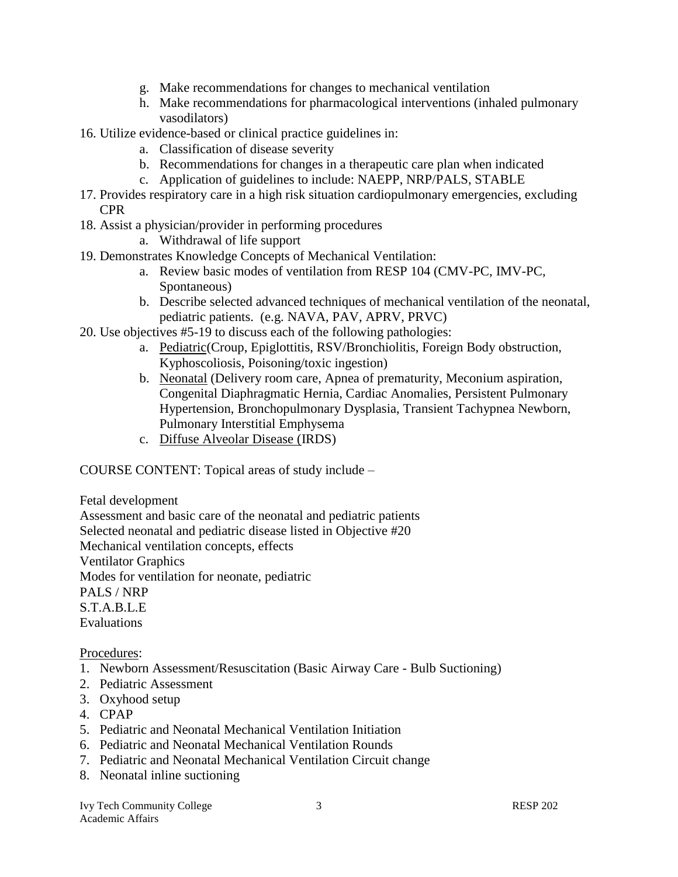- g. Make recommendations for changes to mechanical ventilation
- h. Make recommendations for pharmacological interventions (inhaled pulmonary vasodilators)
- 16. Utilize evidence-based or clinical practice guidelines in:
	- a. Classification of disease severity
	- b. Recommendations for changes in a therapeutic care plan when indicated
	- c. Application of guidelines to include: NAEPP, NRP/PALS, STABLE
- 17. Provides respiratory care in a high risk situation cardiopulmonary emergencies, excluding CPR
- 18. Assist a physician/provider in performing procedures
	- a. Withdrawal of life support
- 19. Demonstrates Knowledge Concepts of Mechanical Ventilation:
	- a. Review basic modes of ventilation from RESP 104 (CMV-PC, IMV-PC, Spontaneous)
	- b. Describe selected advanced techniques of mechanical ventilation of the neonatal, pediatric patients. (e.g. NAVA, PAV, APRV, PRVC)
- 20. Use objectives #5-19 to discuss each of the following pathologies:
	- a. Pediatric(Croup, Epiglottitis, RSV/Bronchiolitis, Foreign Body obstruction, Kyphoscoliosis, Poisoning/toxic ingestion)
	- b. Neonatal (Delivery room care, Apnea of prematurity, Meconium aspiration, Congenital Diaphragmatic Hernia, Cardiac Anomalies, Persistent Pulmonary Hypertension, Bronchopulmonary Dysplasia, Transient Tachypnea Newborn, Pulmonary Interstitial Emphysema
	- c. Diffuse Alveolar Disease (IRDS)

COURSE CONTENT: Topical areas of study include –

Fetal development

Assessment and basic care of the neonatal and pediatric patients Selected neonatal and pediatric disease listed in Objective #20 Mechanical ventilation concepts, effects Ventilator Graphics Modes for ventilation for neonate, pediatric PALS / NRP S.T.A.B.L.E Evaluations

Procedures:

- 1. Newborn Assessment/Resuscitation (Basic Airway Care Bulb Suctioning)
- 2. Pediatric Assessment
- 3. Oxyhood setup
- 4. CPAP
- 5. Pediatric and Neonatal Mechanical Ventilation Initiation
- 6. Pediatric and Neonatal Mechanical Ventilation Rounds
- 7. Pediatric and Neonatal Mechanical Ventilation Circuit change
- 8. Neonatal inline suctioning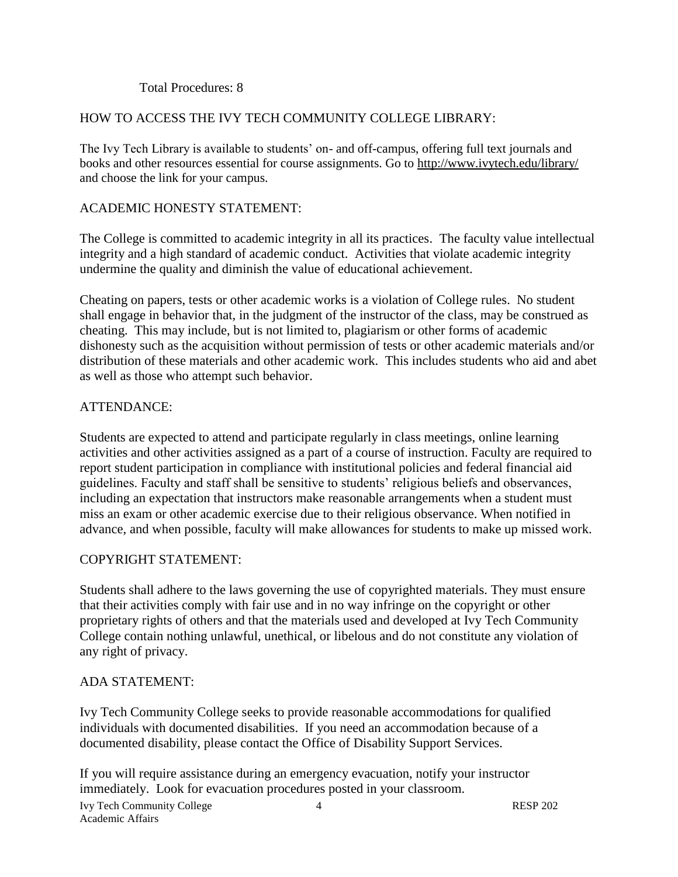#### Total Procedures: 8

## HOW TO ACCESS THE IVY TECH COMMUNITY COLLEGE LIBRARY:

The Ivy Tech Library is available to students' on- and off-campus, offering full text journals and books and other resources essential for course assignments. Go to<http://www.ivytech.edu/library/> and choose the link for your campus.

## ACADEMIC HONESTY STATEMENT:

The College is committed to academic integrity in all its practices. The faculty value intellectual integrity and a high standard of academic conduct. Activities that violate academic integrity undermine the quality and diminish the value of educational achievement.

Cheating on papers, tests or other academic works is a violation of College rules. No student shall engage in behavior that, in the judgment of the instructor of the class, may be construed as cheating. This may include, but is not limited to, plagiarism or other forms of academic dishonesty such as the acquisition without permission of tests or other academic materials and/or distribution of these materials and other academic work. This includes students who aid and abet as well as those who attempt such behavior.

#### ATTENDANCE:

Students are expected to attend and participate regularly in class meetings, online learning activities and other activities assigned as a part of a course of instruction. Faculty are required to report student participation in compliance with institutional policies and federal financial aid guidelines. Faculty and staff shall be sensitive to students' religious beliefs and observances, including an expectation that instructors make reasonable arrangements when a student must miss an exam or other academic exercise due to their religious observance. When notified in advance, and when possible, faculty will make allowances for students to make up missed work.

## COPYRIGHT STATEMENT:

Students shall adhere to the laws governing the use of copyrighted materials. They must ensure that their activities comply with fair use and in no way infringe on the copyright or other proprietary rights of others and that the materials used and developed at Ivy Tech Community College contain nothing unlawful, unethical, or libelous and do not constitute any violation of any right of privacy.

#### ADA STATEMENT:

Ivy Tech Community College seeks to provide reasonable accommodations for qualified individuals with documented disabilities. If you need an accommodation because of a documented disability, please contact the Office of Disability Support Services.

If you will require assistance during an emergency evacuation, notify your instructor immediately. Look for evacuation procedures posted in your classroom.